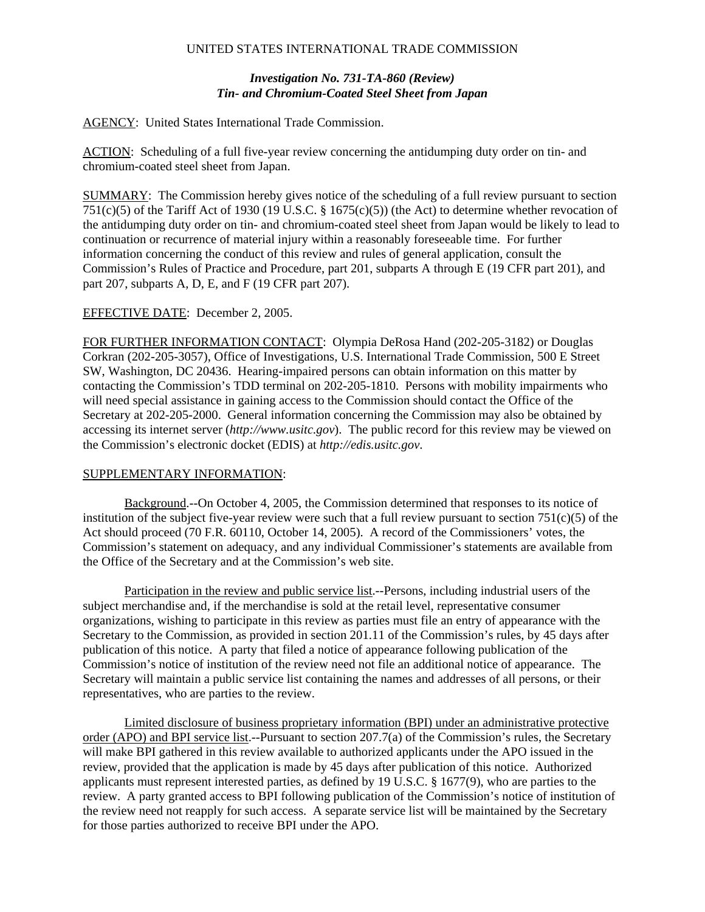## UNITED STATES INTERNATIONAL TRADE COMMISSION

## *Investigation No. 731-TA-860 (Review) Tin- and Chromium-Coated Steel Sheet from Japan*

AGENCY: United States International Trade Commission.

ACTION: Scheduling of a full five-year review concerning the antidumping duty order on tin- and chromium-coated steel sheet from Japan.

SUMMARY: The Commission hereby gives notice of the scheduling of a full review pursuant to section 751(c)(5) of the Tariff Act of 1930 (19 U.S.C.  $\S$  1675(c)(5)) (the Act) to determine whether revocation of the antidumping duty order on tin- and chromium-coated steel sheet from Japan would be likely to lead to continuation or recurrence of material injury within a reasonably foreseeable time. For further information concerning the conduct of this review and rules of general application, consult the Commission's Rules of Practice and Procedure, part 201, subparts A through E (19 CFR part 201), and part 207, subparts A, D, E, and F (19 CFR part 207).

## EFFECTIVE DATE: December 2, 2005.

FOR FURTHER INFORMATION CONTACT: Olympia DeRosa Hand (202-205-3182) or Douglas Corkran (202-205-3057), Office of Investigations, U.S. International Trade Commission, 500 E Street SW, Washington, DC 20436. Hearing-impaired persons can obtain information on this matter by contacting the Commission's TDD terminal on 202-205-1810. Persons with mobility impairments who will need special assistance in gaining access to the Commission should contact the Office of the Secretary at 202-205-2000. General information concerning the Commission may also be obtained by accessing its internet server (*http://www.usitc.gov*). The public record for this review may be viewed on the Commission's electronic docket (EDIS) at *http://edis.usitc.gov*.

## SUPPLEMENTARY INFORMATION:

Background.--On October 4, 2005, the Commission determined that responses to its notice of institution of the subject five-year review were such that a full review pursuant to section  $751(c)(5)$  of the Act should proceed (70 F.R. 60110, October 14, 2005). A record of the Commissioners' votes, the Commission's statement on adequacy, and any individual Commissioner's statements are available from the Office of the Secretary and at the Commission's web site.

Participation in the review and public service list.--Persons, including industrial users of the subject merchandise and, if the merchandise is sold at the retail level, representative consumer organizations, wishing to participate in this review as parties must file an entry of appearance with the Secretary to the Commission, as provided in section 201.11 of the Commission's rules, by 45 days after publication of this notice. A party that filed a notice of appearance following publication of the Commission's notice of institution of the review need not file an additional notice of appearance. The Secretary will maintain a public service list containing the names and addresses of all persons, or their representatives, who are parties to the review.

Limited disclosure of business proprietary information (BPI) under an administrative protective order (APO) and BPI service list.--Pursuant to section 207.7(a) of the Commission's rules, the Secretary will make BPI gathered in this review available to authorized applicants under the APO issued in the review, provided that the application is made by 45 days after publication of this notice. Authorized applicants must represent interested parties, as defined by 19 U.S.C. § 1677(9), who are parties to the review. A party granted access to BPI following publication of the Commission's notice of institution of the review need not reapply for such access. A separate service list will be maintained by the Secretary for those parties authorized to receive BPI under the APO.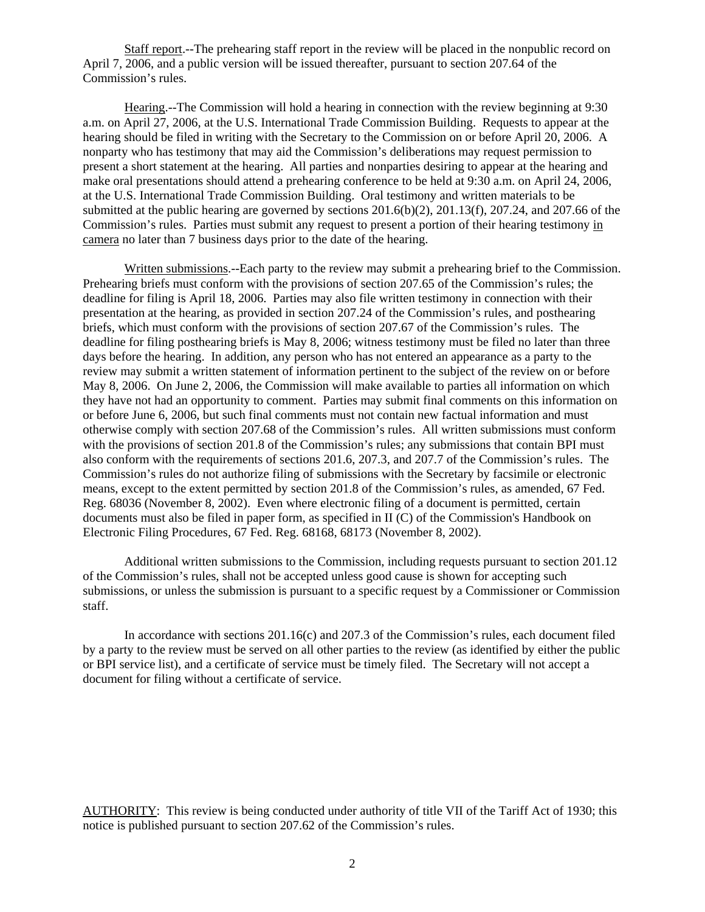Staff report.--The prehearing staff report in the review will be placed in the nonpublic record on April 7, 2006, and a public version will be issued thereafter, pursuant to section 207.64 of the Commission's rules.

Hearing.--The Commission will hold a hearing in connection with the review beginning at 9:30 a.m. on April 27, 2006, at the U.S. International Trade Commission Building. Requests to appear at the hearing should be filed in writing with the Secretary to the Commission on or before April 20, 2006. A nonparty who has testimony that may aid the Commission's deliberations may request permission to present a short statement at the hearing. All parties and nonparties desiring to appear at the hearing and make oral presentations should attend a prehearing conference to be held at 9:30 a.m. on April 24, 2006, at the U.S. International Trade Commission Building. Oral testimony and written materials to be submitted at the public hearing are governed by sections  $201.6(b)(2)$ ,  $201.13(f)$ ,  $207.24$ , and  $207.66$  of the Commission's rules. Parties must submit any request to present a portion of their hearing testimony in camera no later than 7 business days prior to the date of the hearing.

Written submissions.--Each party to the review may submit a prehearing brief to the Commission. Prehearing briefs must conform with the provisions of section 207.65 of the Commission's rules; the deadline for filing is April 18, 2006. Parties may also file written testimony in connection with their presentation at the hearing, as provided in section 207.24 of the Commission's rules, and posthearing briefs, which must conform with the provisions of section 207.67 of the Commission's rules. The deadline for filing posthearing briefs is May 8, 2006; witness testimony must be filed no later than three days before the hearing. In addition, any person who has not entered an appearance as a party to the review may submit a written statement of information pertinent to the subject of the review on or before May 8, 2006. On June 2, 2006, the Commission will make available to parties all information on which they have not had an opportunity to comment. Parties may submit final comments on this information on or before June 6, 2006, but such final comments must not contain new factual information and must otherwise comply with section 207.68 of the Commission's rules. All written submissions must conform with the provisions of section 201.8 of the Commission's rules; any submissions that contain BPI must also conform with the requirements of sections 201.6, 207.3, and 207.7 of the Commission's rules. The Commission's rules do not authorize filing of submissions with the Secretary by facsimile or electronic means, except to the extent permitted by section 201.8 of the Commission's rules, as amended, 67 Fed. Reg. 68036 (November 8, 2002). Even where electronic filing of a document is permitted, certain documents must also be filed in paper form, as specified in II (C) of the Commission's Handbook on Electronic Filing Procedures, 67 Fed. Reg. 68168, 68173 (November 8, 2002).

Additional written submissions to the Commission, including requests pursuant to section 201.12 of the Commission's rules, shall not be accepted unless good cause is shown for accepting such submissions, or unless the submission is pursuant to a specific request by a Commissioner or Commission staff.

In accordance with sections 201.16(c) and 207.3 of the Commission's rules, each document filed by a party to the review must be served on all other parties to the review (as identified by either the public or BPI service list), and a certificate of service must be timely filed. The Secretary will not accept a document for filing without a certificate of service.

AUTHORITY: This review is being conducted under authority of title VII of the Tariff Act of 1930; this notice is published pursuant to section 207.62 of the Commission's rules.